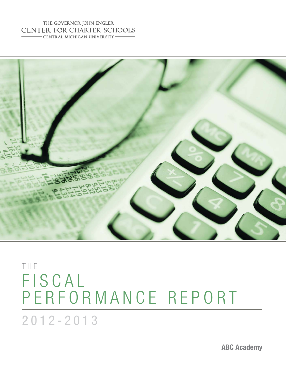#### - THE GOVERNOR JOHN ENGLER CENTER FOR CHARTER SCHOOLS - CENTRAL MICHIGAN UNIVERSITY-



# THE FISCAL PERFORMANCE REPORT

2012-2013

**ABC Academy**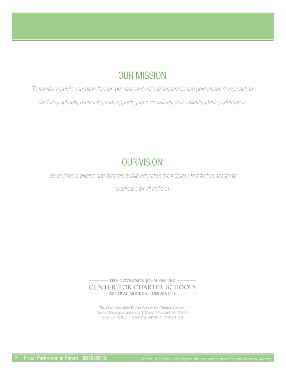### OUR MISSION

*To transform public education through our state and national leadership and gold standard approach to chartering schools, overseeing and supporting their operations, and evaluating their performance.* 

### OUR VISION

*We envision a diverse and dynamic public education marketplace that fosters academic* 

*excellence for all children.*

- THE GOVERNOR JOHN ENGLER -CENTER FOR CHARTER SCHOOLS CENTRAL MICHIGAN UNIVERSITY-

The Governor John Engler Center for Charter Schools Central Michigan University **|** Mount Pleasant, MI 48859 (989) 774-2100 **|** www.TheCenterForCharters.org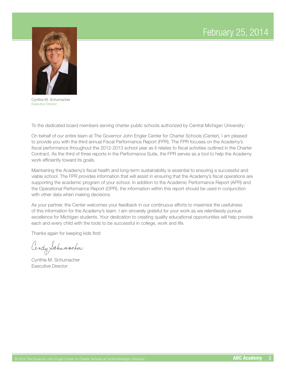### February 25, 2014



Cynthia M. Schumacher Executive Director

To the dedicated board members serving charter public schools authorized by Central Michigan University:

On behalf of our entire team at The Governor John Engler Center for Charter Schools (Center), I am pleased to provide you with the third annual Fiscal Performance Report (FPR). The FPR focuses on the Academy's fiscal performance throughout the 2012-2013 school year as it relates to fiscal activities outlined in the Charter Contract. As the third of three reports in the Performance Suite, the FPR serves as a tool to help the Academy work efficiently toward its goals.

Maintaining the Academy's fiscal health and long-term sustainability is essential to ensuring a successful and viable school. The FPR provides information that will assist in ensuring that the Academy's fiscal operations are supporting the academic program of your school. In addition to the Academic Performance Report (APR) and the Operational Performance Report (OPR), the information within this report should be used in conjunction with other data when making decisions.

As your partner, the Center welcomes your feedback in our continuous efforts to maximize the usefulness of this information for the Academy's team. I am sincerely grateful for your work as we relentlessly pursue excellence for Michigan students. Your dedication to creating quality educational opportunities will help provide each and every child with the tools to be successful in college, work and life.

Thanks again for keeping kids first!

Cindy Schumacher

Cynthia M. Schumacher Executive Director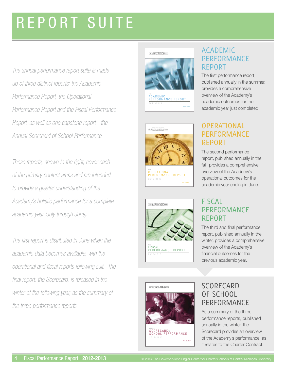# REPORT SUITE

*The annual performance report suite is made up of three distinct reports: the Academic Performance Report, the Operational Performance Report and the Fiscal Performance Report, as well as one capstone report - the Annual Scorecard of School Performance.* 

*These reports, shown to the right, cover each of the primary content areas and are intended to provide a greater understanding of the Academy's holistic performance for a complete academic year (July through June).*

*The fi rst report is distributed in June when the academic data becomes available, with the operational and fi scal reports following suit. The*  final report, the Scorecard, is released in the *winter of the following year, as the summary of the three performance reports.*









### ACADEMIC PERFORMANCE REPORT

The first performance report, published annually in the summer, provides a comprehensive overview of the Academy's academic outcomes for the academic year just completed.

### **OPERATIONAL** PERFORMANCE REPORT

The second performance report, published annually in the fall, provides a comprehensive overview of the Academy's operational outcomes for the academic year ending in June.

### **FISCAL PERFORMANCE** REPORT

The third and final performance report, published annually in the winter, provides a comprehensive overview of the Academy's financial outcomes for the previous academic year.



<sub>ANNUAL</sub><br>SCORECARD*of*<br>SCHOOL PERFORMANCE

### **SCORECARD** OF SCHOOL PERFORMANCE

As a summary of the three performance reports, published annually in the winter, the Scorecard provides an overview of the Academy's performance, as it relates to the Charter Contract.

ABC ACADEMY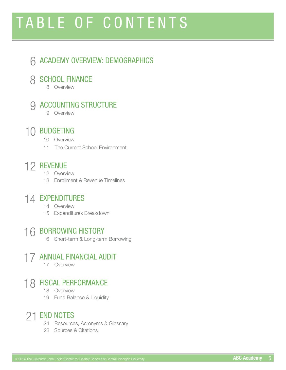# TABLE OF CONTENTS

### 6 ACADEMY OVERVIEW: DEMOGRAPHICS

## **8 SCHOOL FINANCE**<br>8 Overview

# **9 ACCOUNTING STRUCTURE**

### 10 BUDGETING

- 10 Overview
- 11 The Current School Environment

### 12 REVENUE

- 12 Overview
- 13 Enrollment & Revenue Timelines

## 14 EXPENDITURES 14 Overview

- 
- 15 Expenditures Breakdown

### 16 BORROWING HISTORY

16 Short-term & Long-term Borrowing

## 17 ANNUAL FINANCIAL AUDIT

### 18 FISCAL PERFORMANCE

- 18 Overview
- 19 Fund Balance & Liquidity

### 21 END NOTES

- 21 Resources, Acronyms & Glossary
- 23 Sources & Citations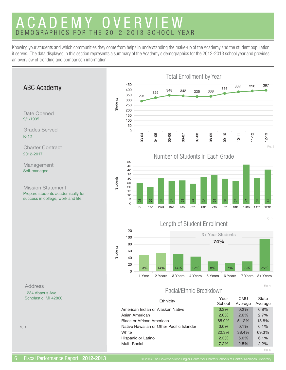### ACADEMY OVERVIEW DEMOGRAPHICS FOR THE 2012-2013 SCHOOL YEAR

Knowing your students and which communities they come from helps in understanding the make-up of the Academy and the student population it serves. The data displayed in this section represents a summary of the Academy's demographics for the 2012-2013 school year and provides an overview of trending and comparison information.

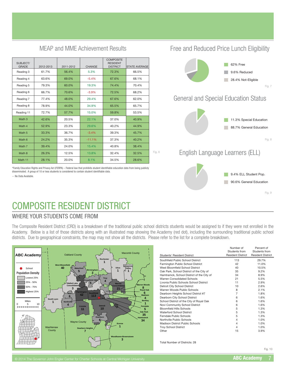#### SUBJECT/<br>GRADE 2012-2013 2011-2012 CHANGE **COMPOSITE** RESIDENT<br>DISTRICT STATE AVERA Reading 3 61.7% 56.4% 5.3% 72.3% 66.5% Reading 4 63.6% 69.0% -5.4% 67.6% 68.1% Reading 5 79.3% 60.0% 19.3% 74.4% 70.4% Reading 6 66.7% 70.6% -3.9% 72.5% 68.2% Reading 7 | 77.4% | 48.0% | 29.4% | 67.6% | 62.0% Reading 8 78.9% 44.0% 34.9% 65.5% 65.7% Reading 11 72.7% 57.7% 15.0% 59.8% 53.5% Math 3 42.6% 20.5% 22.1% 37.0% 40.9% Math 4 52.9% 23.3% 29.6% 40.2% 44.9% Math 5 33.3% 36.7% -3.4% 39.3% 45.7% Math 6 24.2% 35.3% -11.1% 37.3% 40.2% Math 7 39.4% 24.0% 15.4% 40.8% 38.4% Math 8 26.3% 12.5% 13.8% 32.4% 32.5% Math 11 28.1% 20.0% 8.1% 34.5% 28.6%

MEAP and MME Achievement Results

\*Family Education Rights and Privacy Act (FERPA) – Federal law that prohibits student identifi able education data from being publicly discussion ingite and integrity to the time, it can also that promote station identifiable data.

-- No Data Available.

### COMPOSITE RESIDENT DISTRICT

#### WHERE YOUR STUDENTS COME FROM

The Composite Resident District (CRD) is a breakdown of the traditional public school districts students would be assigned to if they were not enrolled in the Academy. Below is a list of those districts along with an illustrated map showing the Academy (red dot), including the surrounding traditional public school districts. Due to geographical constraints, the map may not show all the districts. Please refer to the list for a complete breakdown.

Fig. 6



| Students' Resident District               | Number of<br>Students from<br><b>Resident District</b> | Percent of<br>Students from<br><b>Resident District</b> |
|-------------------------------------------|--------------------------------------------------------|---------------------------------------------------------|
| Southfield Public School District         | 113                                                    | 29.7%                                                   |
| Farmington Public School District         | 42                                                     | 11.0%                                                   |
| West Bloomfield School District           | 40                                                     | 10.5%                                                   |
| Oak Park, School District of the City of  | 35                                                     | 9.2%                                                    |
| Hamtramck, School District of the City of | 34                                                     | 8.9%                                                    |
| Warren Consolidated Schools               | 21                                                     | 5.5%                                                    |
| Livonia Public Schools School District    | 11                                                     | 2.9%                                                    |
| Detroit City School District              | 10                                                     | 2.6%                                                    |
| Warren Woods Public Schools               | 8                                                      | 2.1%                                                    |
| Dearborn Heights School District #7       | $\overline{7}$                                         | 1.8%                                                    |
| Dearborn City School District             | 6                                                      | 1.6%                                                    |
| School District of the City of Royal Oak  | 6                                                      | 1.6%                                                    |
| Novi Community School District            | 6                                                      | 1.6%                                                    |
| <b>Bloomfield Hills Schools</b>           | 5                                                      | 1.3%                                                    |
| <b>Waterford School District</b>          | 5                                                      | 1.3%                                                    |
| Ferndale Public Schools                   | 5                                                      | 1.3%                                                    |
| Northville Public Schools                 | 4                                                      | 1.0%                                                    |
| Madison District Public Schools           | $\overline{4}$                                         | 1.0%                                                    |
| <b>Troy School District</b>               | $\overline{4}$                                         | 1.0%                                                    |
| Other                                     | 15                                                     | 3.9%                                                    |

Total Number of Districts: 28

### Free and Reduced Price Lunch Eligibility



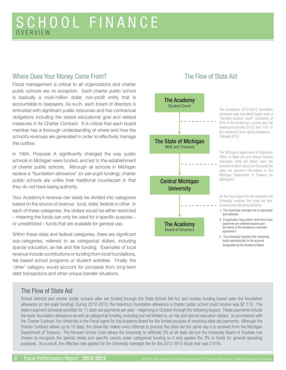### SCHOOL FINANCE OVERVIEW

#### Where Does Your Money Come From?

Fiscal management is critical to all organizations and charter public schools are no exception. Each charter public school is basically a multi-million dollar, non-profit entity that is accountable to taxpayers. As such, each board of directors is entrusted with significant public resources and has contractual obligations including the stated educational goal and related measures in its Charter Contract. It is critical that each board member has a thorough understanding of where and how the school's revenues are generated in order to effectively manage the outflow.

In 1994, Proposal A significantly changed the way public schools in Michigan were funded, and led to the establishment of charter public schools. Although all schools in Michigan receive a "foundation allowance" (or per-pupil funding), charter public schools are unlike their traditional counterpart in that they do not have taxing authority.

Your Academy's revenue can easily be divided into categories based on the source of revenue: local, state, federal or other. In each of these categories, the dollars would be either restricted – meaning the funds can only be used for a specific purpose – or unrestricted – funds that are available for general use.

Within these state and federal categories, there are significant sub-categories, referred to as categorical dollars, including special education, at-risk and title funding. Examples of local revenue include contributions or funding from local foundations, fee based school programs or student activities. Finally, the 'other' category would account for proceeds from long-term debt transactions and other unique transfer situations.

### The Flow of State Aid



The Academy's 2012-2013 foundation allowance was calculated based upon a "blended student count" consisting of 90% of the Academy's current year fall headcount (October 2012) and 10% of the Academy's prior spring headcount (February 2012).

The Michigan Department of Education, Office of State Aid and School Finance, calculates state aid based upon the blended student count and forwards the state aid payment information to the Michigan Department of Treasury for distribution.

As the Fiscal Agent for the Academy, the University receives the state aid and conducts the following activities:

- 1. The University oversight fee is calculated and withheld.
- 2. If applicable, long and/or short-term loan payments are withheld based upon the terms of the Academy's intercept agreement.
- 3. The University transfers the remaining funds electronically to the account designated by the Academy Board.

#### The Flow of State Aid

School districts and charter public schools alike are funded through the State School Aid Act and receive funding based upon the foundation allowance (or per-pupil funding). During 2012-2013, the maximum foundation allowance a charter public school could receive was \$7,110. The state's payment schedule provides for 11 state aid payments per year – beginning in October through the following August. These payments include the basic foundation allowance as well as categorical funding, including but not limited to, at-risk and special education dollars. In accordance with the Charter Contract, the University is the Fiscal Agent for the Academy Board for the limited purpose of receiving state aid payments. Although the Charter Contract allows up to 10 days, the University makes every attempt to process the state aid the same day it is received from the Michigan Department of Treasury. The Revised School Code allows the University to withhold 3% of all state aid but the University Board of Trustees has chosen to recognize the special needs and specific counts under categorical funding so it only applies the 3% to funds for general operating purposes. As a result, the effective rate applied for the University oversight fee for the 2012-2013 fiscal year was 2.81%.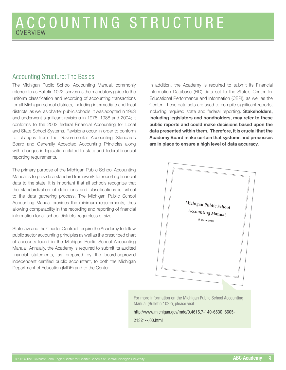#### Accounting Structure: The Basics

The Michigan Public School Accounting Manual, commonly referred to as Bulletin 1022, serves as the mandatory guide to the uniform classification and recording of accounting transactions for all Michigan school districts, including intermediate and local districts, as well as charter public schools. It was adopted in 1963 and underwent significant revisions in 1976, 1988 and 2004; it conforms to the 2003 federal Financial Accounting for Local and State School Systems. Revisions occur in order to conform to changes from the Governmental Accounting Standards Board and Generally Accepted Accounting Principles along with changes in legislation related to state and federal financial reporting requirements.

The primary purpose of the Michigan Public School Accounting Manual is to provide a standard framework for reporting financial data to the state. It is important that all schools recognize that the standardization of definitions and classifications is critical to the data gathering process. The Michigan Public School Accounting Manual provides the minimum requirements, thus allowing comparability in the recording and reporting of financial information for all school districts, regardless of size.

State law and the Charter Contract require the Academy to follow public sector accounting principles as well as the prescribed chart of accounts found in the Michigan Public School Accounting Manual. Annually, the Academy is required to submit its audited financial statements, as prepared by the board-approved independent certified public accountant, to both the Michigan Department of Education (MDE) and to the Center.

In addition, the Academy is required to submit its Financial Information Database (FID) data set to the State's Center for Educational Performance and Information (CEPI), as well as the Center. These data sets are used to compile significant reports, including required state and federal reporting. **Stakeholders, including legislators and bondholders, may refer to these public reports and could make decisions based upon the data presented within them. Therefore, it is crucial that the Academy Board make certain that systems and processes are in place to ensure a high level of data accuracy.**



For more information on the Michigan Public School Accounting Manual (Bulletin 1022), please visit:

http://www.michigan.gov/mde/0,4615,7-140-6530\_6605-

21321--,00.html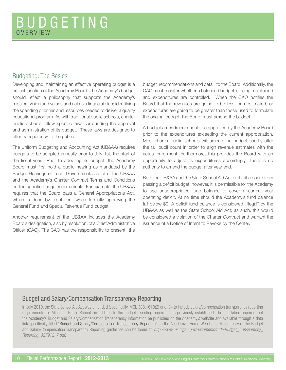#### Budgeting: The Basics

Developing and maintaining an effective operating budget is a critical function of the Academy Board. The Academy's budget should reflect a philosophy that supports the Academy's mission, vision and values and act as a financial plan; identifying the spending priorities and resources needed to deliver a quality educational program. As with traditional public schools, charter public schools follow specific laws surrounding the approval and administration of its budget. These laws are designed to offer transparency to the public.

The Uniform Budgeting and Accounting Act (UB&AA) requires budgets to be adopted annually prior to July 1st, the start of the fiscal year. Prior to adopting its budget, the Academy Board must first hold a public hearing as mandated by the Budget Hearings of Local Governments statute. The UB&AA and the Academy's Charter Contract Terms and Conditions outline specific budget requirements. For example, the UB&AA requires that the Board pass a General Appropriations Act, which is done by resolution, when formally approving the General Fund and Special Revenue Fund budget.

Another requirement of the UB&AA includes the Academy Board's designation, also by resolution, of a Chief Administrative Officer (CAO). The CAO has the responsibility to present the budget recommendations and detail to the Board. Additionally, the CAO must monitor whether a balanced budget is being maintained and expenditures are controlled. When the CAO notifies the Board that the revenues are going to be less than estimated, or expenditures are going to be greater than those used to formulate the original budget, the Board must amend the budget.

A budget amendment should be approved by the Academy Board prior to the expenditures exceeding the current appropriation. Most charter public schools will amend the budget shortly after the fall pupil count in order to align revenue estimates with the actual enrollment. Furthermore, this provides the Board with an opportunity to adjust its expenditures accordingly. There is no authority to amend the budget after year end.

Both the UB&AA and the State School Aid Act prohibit a board from passing a deficit budget; however, it is permissible for the Academy to use unappropriated fund balance to cover a current year operating deficit. At no time should the Academy's fund balance fall below \$0. A deficit fund balance is considered "illegal" by the UB&AA as well as the State School Aid Act; as such, this would be considered a violation of the Charter Contract and warrant the issuance of a Notice of Intent to Revoke by the Center.

#### Budget and Salary/Compensation Transparency Reporting

In July 2010, the State School Aid Act was amended (specifically, MCL 388.1618(2) and (3)) to include salary/compensation transparency reporting requirements for Michigan Public Schools in addition to the budget reporting requirements previously established. The legislation requires that the Academy's Budget and Salary/Compensation Transparency information be published on the Academy's website and available through a data link specifically titled "Budget and Salary/Compensation Transparency Reporting" on the Academy's Home Web Page. A summary of the Budget and Salary/Compensation Transparency Reporting guidelines can be found at: *http://www.michigan.gov/documents/mde/Budget\_Transparency\_ Reporting\_327912\_7.pdf.*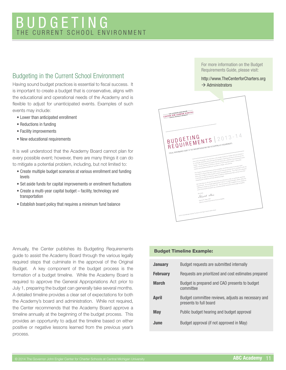### BUDGETING THE CURRENT SCHOOL ENVIRONMENT

### Budgeting in the Current School Environment

Having sound budget practices is essential to fiscal success. It  $\rightarrow$  Administrators is important to create a budget that is conservative, aligns with the educational and operational needs of the Academy and is flexible to adjust for unanticipated events. Examples of such events may include:

- Lower than anticipated enrollment
- Reductions in funding
- Facility improvements
- New educational requirements

It is well understood that the Academy Board cannot plan for every possible event; however, there are many things it can do to mitigate a potential problem, including, but not limited to:

- Create multiple budget scenarios at various enrollment and funding levels
- Set aside funds for capital improvements or enrollment fluctuations
- Create a multi-year capital budget facility, technology and transportation
- Establish board policy that requires a minimum fund balance

Annually, the Center publishes its Budgeting Requirements guide to assist the Academy Board through the various legally required steps that culminate in the approval of the Original Budget. A key component of the budget process is the formation of a budget timeline. While the Academy Board is required to approve the General Appropriations Act prior to July 1, preparing the budget can generally take several months. A detailed timeline provides a clear set of expectations for both the Academy's board and administration. While not required, the Center recommends that the Academy Board approve a timeline annually at the beginning of the budget process. This provides an opportunity to adjust the timeline based on either positive or negative lessons learned from the previous year's process.

For more information on the Budget Requirements Guide, please visit:

### http://www.TheCenterforCharters.org

| THE GOVERNOR JOHN ENGLER-<br>CENTER FOR CHARTER SCHOOLS<br>CENTRAL MICHIGAN UNIVERSITY |                                                                                                                                                                                                                                                                                                                                                                                                                                                                                                                |  |
|----------------------------------------------------------------------------------------|----------------------------------------------------------------------------------------------------------------------------------------------------------------------------------------------------------------------------------------------------------------------------------------------------------------------------------------------------------------------------------------------------------------------------------------------------------------------------------------------------------------|--|
|                                                                                        |                                                                                                                                                                                                                                                                                                                                                                                                                                                                                                                |  |
|                                                                                        |                                                                                                                                                                                                                                                                                                                                                                                                                                                                                                                |  |
|                                                                                        |                                                                                                                                                                                                                                                                                                                                                                                                                                                                                                                |  |
|                                                                                        |                                                                                                                                                                                                                                                                                                                                                                                                                                                                                                                |  |
|                                                                                        | BUDGETING<br>REQUIREMENTS   2013-14                                                                                                                                                                                                                                                                                                                                                                                                                                                                            |  |
|                                                                                        | FISCAL PERFORMANCE QUIDE TO THE UNIFORM BUDGETING AND ACCOUNTING ACT REQUIREMENTS                                                                                                                                                                                                                                                                                                                                                                                                                              |  |
|                                                                                        | One of the main goals of The Governor John Engler Center For Charles Schools (Center) is<br>to contentibly shearings and automate the regulatory reporting process for the schools we                                                                                                                                                                                                                                                                                                                          |  |
|                                                                                        | charter. The showy besind this goal is shall by making the notification and reporting process<br>mouthing, add to start a source of the first to detected to move a line mouthing it materials. In this section to the<br>Third is the start of the first of move than to detected to move in program materials. In the fight that<br>mission and preparing students for success in college, work and life.                                                                                                    |  |
|                                                                                        | The Oerlar's Fiscal Performance & Accountability Unit (FP&A) strives to provide useful<br>the women of a second continuum and a second women of the state women with controller por with the<br>comments of products and work was constructed and applicable law. The FPBA Link is pleased                                                                                                                                                                                                                     |  |
|                                                                                        | preparing the Academy's annual operating budget.                                                                                                                                                                                                                                                                                                                                                                                                                                                               |  |
|                                                                                        | We hope that you will use that document as a resource to help you anticipate reporting<br>one the party and put the water and supported the PY2013-14 Original Budgets, please USA:n this<br>continuous water put the water and continuous the PY2013-14 Original Budgets, please USA:n this<br>meteorites to applies the property in the second to the content of the second second second the second second<br>- Management of the second second the week. This document is also available on our website as |  |
|                                                                                        |                                                                                                                                                                                                                                                                                                                                                                                                                                                                                                                |  |
|                                                                                        | Sincerely.<br>Derried Stair                                                                                                                                                                                                                                                                                                                                                                                                                                                                                    |  |
|                                                                                        | Derrick R. Stair, CPA<br>Director, Fiscal Performance & Accountability                                                                                                                                                                                                                                                                                                                                                                                                                                         |  |
|                                                                                        |                                                                                                                                                                                                                                                                                                                                                                                                                                                                                                                |  |
|                                                                                        | O 2013 Central Michigan University, the Greenral Jack Englis Create for Charles Schools                                                                                                                                                                                                                                                                                                                                                                                                                        |  |
|                                                                                        |                                                                                                                                                                                                                                                                                                                                                                                                                                                                                                                |  |

#### **Budget Timeline Example:**

| <b>January</b>  | Budget requests are submitted internally                                     |
|-----------------|------------------------------------------------------------------------------|
| <b>February</b> | Requests are prioritized and cost estimates prepared                         |
| <b>March</b>    | Budget is prepared and CAO presents to budget<br>committee                   |
| April           | Budget committee reviews, adjusts as necessary and<br>presents to full board |
| <b>May</b>      | Public budget hearing and budget approval                                    |
| June.           | Budget approval (if not approved in May)                                     |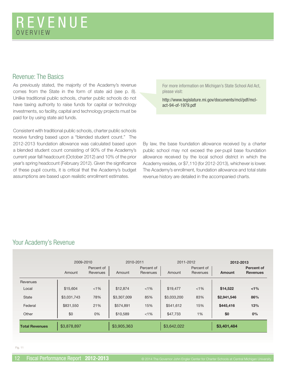#### Revenue: The Basics

As previously stated, the majority of the Academy's revenue comes from the State in the form of state aid (see p. 8). Unlike traditional public schools, charter public schools do not have taxing authority to raise funds for capital or technology investments, so facility, capital and technology projects must be paid for by using state aid funds.

Consistent with traditional public schools, charter public schools receive funding based upon a "blended student count." The 2012-2013 foundation allowance was calculated based upon a blended student count consisting of 90% of the Academy's current year fall headcount (October 2012) and 10% of the prior year's spring headcount (February 2012). Given the significance of these pupil counts, it is critical that the Academy's budget assumptions are based upon realistic enrollment estimates.

For more information on Michigan's State School Aid Act, please visit:

http://www.legislature.mi.gov/documents/mcl/pdf/mclact-94-of-1979.pdf

By law, the base foundation allowance received by a charter public school may not exceed the per-pupil base foundation allowance received by the local school district in which the Academy resides, or \$7,110 (for 2012-2013), whichever is lower. The Academy's enrollment, foundation allowance and total state revenue history are detailed in the accompanied charts.

### Your Academy's Revenue

|                       | 2009-2010   |                        | 2010-2011   |                        | 2011-2012   |                        | 2012-2013     |                               |
|-----------------------|-------------|------------------------|-------------|------------------------|-------------|------------------------|---------------|-------------------------------|
|                       | Amount      | Percent of<br>Revenues | Amount      | Percent of<br>Revenues | Amount      | Percent of<br>Revenues | <b>Amount</b> | Percent of<br><b>Revenues</b> |
| Revenues              |             |                        |             |                        |             |                        |               |                               |
| Local                 | \$15,604    | $< 1\%$                | \$12,874    | $< 1\%$                | \$19,477    | $<1\%$                 | \$14,522      | $< 1\%$                       |
| <b>State</b>          | \$3,031,743 | 78%                    | \$3,307,009 | 85%                    | \$3,033,200 | 83%                    | \$2,941,546   | 86%                           |
| Federal               | \$831,550   | 21%                    | \$574.891   | 15%                    | \$541,612   | 15%                    | \$445,416     | 13%                           |
| Other                 | \$0         | 0%                     | \$10,589    | $< 1\%$                | \$47,733    | 1%                     | \$0           | 0%                            |
| <b>Total Revenues</b> | \$3,878,897 |                        | \$3,905,363 |                        | \$3,642,022 |                        | \$3,401,484   |                               |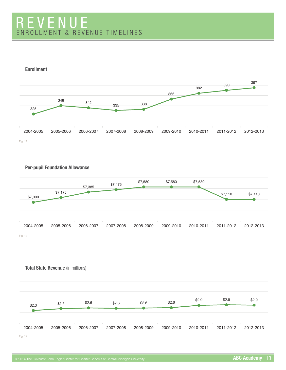### REVENUE ENROLLMENT & REVENUE TIMELINES







**Total State Revenue** (in millions)

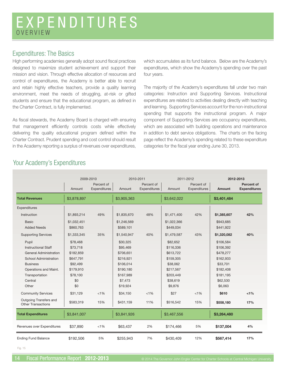### EXPENDITURES OVERVIEW

#### Expenditures: The Basics

High performing academies generally adopt sound fiscal practices designed to maximize student achievement and support their mission and vision. Through effective allocation of resources and control of expenditures, the Academy is better able to recruit and retain highly effective teachers, provide a quality learning environment, meet the needs of struggling, at-risk or gifted students and ensure that the educational program, as defined in the Charter Contract, is fully implemented.

As fiscal stewards, the Academy Board is charged with ensuring that management efficiently controls costs while effectively delivering the quality educational program defined within the Charter Contract. Prudent spending and cost control should result in the Academy reporting a surplus of revenues over expenditures,

which accumulates as its fund balance. Below are the Academy's expenditures, which show the Academy's spending over the past four years.

The majority of the Academy's expenditures fall under two main categories: Instruction and Supporting Services. Instructional expenditures are related to activities dealing directly with teaching and learning. Supporting Services account for the non-instructional spending that supports the instructional program. A major component of Supporting Services are occupancy expenditures, which are associated with building operations and maintenance in addition to debt service obligations. The charts on the facing page reflect the Academy's spending related to these expenditure categories for the fiscal year ending June 30, 2013.

|                                                     |                          | 2009-2010                         | 2010-2011                |                            |                          | 2011-2012                  |                        | 2012-2013                         |
|-----------------------------------------------------|--------------------------|-----------------------------------|--------------------------|----------------------------|--------------------------|----------------------------|------------------------|-----------------------------------|
|                                                     | Amount                   | Percent of<br><b>Expenditures</b> | Amount                   | Percent of<br>Expenditures | Amount                   | Percent of<br>Expenditures | Amount                 | Percent of<br><b>Expenditures</b> |
| <b>Total Revenues</b>                               | \$3,878,897              |                                   | \$3,905,363              |                            | \$3,642,022              |                            | \$3,401,484            |                                   |
| Expenditures                                        |                          |                                   |                          |                            |                          |                            |                        |                                   |
| Instruction                                         | \$1,893,214              | 49%                               | \$1,835,670              | 48%                        | \$1,471,400              | 42%                        | \$1,385,607            | 42%                               |
| <b>Basic</b><br><b>Added Needs</b>                  | \$1,032,451<br>\$860,763 |                                   | \$1,246,569<br>\$589,101 |                            | \$1,022,366<br>\$449,034 |                            | \$943,685<br>\$441,922 |                                   |
| <b>Supporting Services</b>                          | \$1,333,345              | 35%                               | \$1,540,947              | 40%                        | \$1,479,587              | 43%                        | \$1,320,082            | 40%                               |
| Pupil                                               | \$78,468                 |                                   | \$30,325                 |                            | \$82,652                 |                            | \$106,584              |                                   |
| <b>Instructional Staff</b>                          | \$73,718                 |                                   | \$95,469                 |                            | \$116,336                |                            | \$106,392              |                                   |
| General Administration                              | \$182,859                |                                   | \$706,651                |                            | \$613,722                |                            | \$478,277              |                                   |
| School Administration                               | \$647,791                |                                   | \$216,921                |                            | \$159,305                |                            | \$162,933              |                                   |
| <b>Business</b>                                     | \$92,499                 |                                   | \$106,014                |                            | \$38,062                 |                            | \$33,701               |                                   |
| Operations and Maint.                               | \$179,910                |                                   | \$190,180                |                            | \$217,567                |                            | \$182,408              |                                   |
| Transportation                                      | \$78,100                 |                                   | \$167,989                |                            | \$203,449                |                            | \$181,195              |                                   |
| Central                                             | \$0                      |                                   | \$7,473                  |                            | \$38,619                 |                            | \$62,530               |                                   |
| Other                                               | \$0                      |                                   | \$19,924                 |                            | \$9,876                  |                            | \$6,063                |                                   |
| <b>Community Services</b>                           | \$31,129                 | < 1%                              | \$34,150                 | $< 1\%$                    | \$27                     | $< 1\%$                    | \$610                  | 1%                                |
| Outgoing Transfers and<br><b>Other Transactions</b> | \$583,319                | 15%                               | \$431,159                | 11%                        | \$516,542                | 15%                        | \$558,180              | 17%                               |
| <b>Total Expenditures</b>                           | \$3,841,007              |                                   | \$3,841,926              |                            | \$3,467,556              |                            | \$3,264,480            |                                   |
| Revenues over Expenditures                          | \$37,890                 | < 1%                              | \$63,437                 | 2%                         | \$174,466                | 5%                         | \$137,004              | 4%                                |
| <b>Ending Fund Balance</b>                          | \$192,506                | 5%                                | \$255,943                | 7%                         | \$430,409                | 12%                        | \$567,414              | 17%                               |

#### Your Academy's Expenditures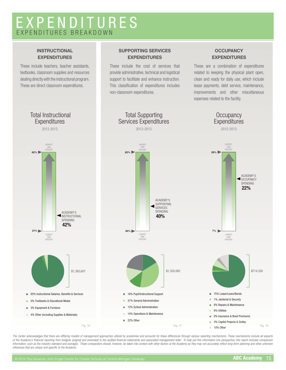### EXPENDITURES EXPENDITURES BREAKDOWN

#### **INSTRUCTIONAL EXPENDITURES**

These include teachers, teacher assistants, textbooks, classroom supplies and resources dealing directly with the instructional program. These are direct classroom expenditures.

#### **SUPPORTING SERVICES EXPENDITURES**

These include the cost of services that provide administrative, technical and logistical support to facilitate and enhance instruction. This classification of expenditures includes non-classroom expenditures.

#### **OCCUPANCY EXPENDITURES**

These are a combination of expenditures related to keeping the physical plant open, clean and ready for daily use, which include lease payments, debt service, maintenance, improvements and other miscellaneous expenses related to the facility.



*The Center acknowledges that there are differing models of management approaches utilized by academies and accounts for these differences through various reporting mechanisms. These mechanisms include all aspects*  of the Academy's financial reporting from budgets (original and amended) to the audited financial statements and associated management letter. To help put this information into perspective, this report includes comparison information, such as the industry standard and averages. These comparators should, however, be taken into context with other factors at the Academy as they may not accurately reflect long-term planning and other unknown *influences that are unique and specific to the Academy.*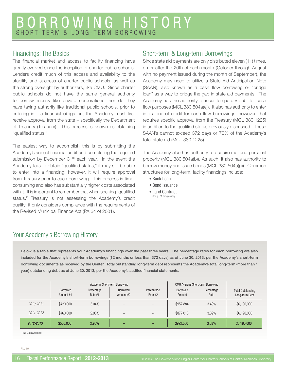### BORROWING HISTORY SHORT-TERM & LONG-TERM BORROWING

#### Financings: The Basics

The financial market and access to facility financing have greatly evolved since the inception of charter public schools. Lenders credit much of this access and availability to the stability and success of charter public schools, as well as the strong oversight by authorizers, like CMU. Since charter public schools do not have the same general authority to borrow money like private corporations, nor do they have taxing authority like traditional public schools, prior to entering into a financial obligation, the Academy must first receive approval from the state – specifically the Department of Treasury (Treasury). This process is known as obtaining "qualified status."

The easiest way to accomplish this is by submitting the Academy's annual financial audit and completing the required submission by December 31<sup>st</sup> each year. In the event the Academy fails to obtain "qualified status," it may still be able to enter into a financing; however, it will require approval from Treasury prior to each borrowing. This process is timeconsuming and also has substantially higher costs associated with it. It is important to remember that when seeking "qualified status," Treasury is not assessing the Academy's credit quality; it only considers compliance with the requirements of the Revised Municipal Finance Act (PA 34 of 2001).

#### Short-term & Long-term Borrowings

Since state aid payments are only distributed eleven (11) times, on or after the 20th of each month (October through August with no payment issued during the month of September), the Academy may need to utilize a State Aid Anticipation Note (SAAN), also known as a cash flow borrowing or "bridge loan" as a way to bridge the gap in state aid payments. The Academy has the authority to incur temporary debt for cash flow purposes (MCL 380.504a(e)). It also has authority to enter into a line of credit for cash flow borrowings; however, that requires specific approval from the Treasury (MCL 380.1225) in addition to the qualified status previously discussed. These SAAN's cannot exceed 372 days or 70% of the Academy's total state aid (MCL 380.1225).

The Academy also has authority to acquire real and personal property (MCL 380.504a(b)). As such, it also has authority to borrow money and issue bonds (MCL 380.504a(g)). Common structures for long-term, facility financings include:

- Bank Loan
- Bond Issuance
- Land Contract See p. 21 for glossary

### Your Academy's Borrowing History

Below is a table that represents your Academy's financings over the past three years. The percentage rates for each borrowing are also **included for the Academy's short-term borrowings (12 months or less than 372 days) as of June 30, 2013, per the Academy's short-term borrowing documents as received by the Center. Total outstanding long-term debt represents the Academy's total long-term (more than 1**  year) outstanding debt as of June 30, 2013, per the Academy's audited financial statements.

|           |                              | <b>Academy Short-term Borrowing</b> |                        |                       |                           | <b>CMU Average Short-term Borrowing</b> |                                            |
|-----------|------------------------------|-------------------------------------|------------------------|-----------------------|---------------------------|-----------------------------------------|--------------------------------------------|
|           | <b>Borrowed</b><br>Amount #1 | Percentage<br>Rate #1               | Borrowed<br>Amount #2  | Percentage<br>Rate #2 | <b>Borrowed</b><br>Amount | Percentage<br>Rate                      | <b>Total Outstanding</b><br>Long-term Debt |
| 2010-2011 | \$420,000                    | 3.04%                               | $- -$                  | $- -$                 | \$957.884                 | 3.43%                                   | \$6,190,000                                |
| 2011-2012 | \$460,000                    | 2.90%                               | $- -$                  | $\qquad \qquad -$     | \$877,018                 | 3.39%                                   | \$6,190,000                                |
| 2012-2013 | \$500,000                    | 2.95%                               | $\qquad \qquad \cdots$ | --                    | \$922,556                 | 3.68%                                   | \$6,190,000                                |

-- No Data Available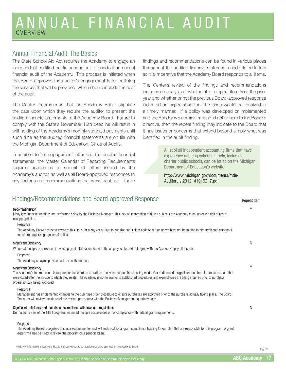### ANNUAL FINANCIAL AUDIT OVERVIEW

#### Annual Financial Audit: The Basics

The State School Aid Act requires the Academy to engage an independent certified public accountant to conduct an annual financial audit of the Academy. This process is initiated when the Board approves the auditor's engagement letter outlining the services that will be provided, which should include the cost of the audit.

The Center recommends that the Academy Board stipulate the date upon which they require the auditor to present the audited financial statements to the Academy Board. Failure to comply with the State's November 15th deadline will result in withholding of the Academy's monthly state aid payments until such time as the audited financial statements are on file with the Michigan Department of Education, Office of Audits.

In addition to the engagement letter and the audited financial statements, the Master Calendar of Reporting Requirements requires academies to submit all letters issued by the Academy's auditor, as well as all Board-approved responses to any findings and recommendations that were identified. These

findings and recommendations can be found in various places throughout the audited financial statements and related letters so it is imperative that the Academy Board responds to all items.

The Center's review of the findings and recommendations includes an analysis of whether it is a repeat item from the prior year and whether or not the previous Board-approved response indicated an expectation that the issue would be resolved in a timely manner. If a policy was developed or implemented and the Academy's administration did not adhere to the Board's directive, then the repeat finding may indicate to the Board that it has issues or concerns that extend beyond simply what was identified in the audit finding.

> A list of all independent accounting firms that have experience auditing school districts, including charter public schools, can be found on the Michigan Department of Education's website:

http://www.michigan.gov/documents/mde/ AuditorList2012\_419152\_7.pdf

| Findings/Recommendations and Board-approved Response                                                                                                                                                                                                                                                                                                                                                        | <b>Repeat Item</b> |
|-------------------------------------------------------------------------------------------------------------------------------------------------------------------------------------------------------------------------------------------------------------------------------------------------------------------------------------------------------------------------------------------------------------|--------------------|
| Recommendation<br>Many key financial functions are performed solely by the Business Manager. This lack of segregation of duties subjects the Academy to an increased risk of asset<br>misappropriation.                                                                                                                                                                                                     |                    |
| Response<br>The Academy Board has been aware of this issue for many years. Due to our size and lack of additional funding we have not been able to hire additional personnel<br>to ensure proper segregation of duties.                                                                                                                                                                                     |                    |
| <b>Significant Deficiency</b><br>We noted multiple occurrences in-which payroll information found in the employee files did not agree with the Academy's payroll records.<br>Response<br>The Academy's payroll provider will review the matter.                                                                                                                                                             | Ν                  |
| <b>Significant Deficiency</b><br>The Academy's internal controls require purchase orders be written in advance of purchases being made. Our audit noted a significant number of purchase orders that<br>were dated after the invoice to which they relate. The Academy is not following its established procedures and expenditures are being incurred prior to purchase<br>orders actually being approved. | $\vee$             |
| Response<br>Management has implemented changes to the purchase order procedure to ensure purchases are approved prior to the purchase actually taking place. The Board<br>Treasurer will review the status of the revised procedures with the Business Manager on a quarterly basis.                                                                                                                        |                    |
| Significant deficiency and material noncompliance with laws and regulations<br>During our review of the Title I program, we noted multiple occurrences of noncompliance with federal grant requirements.                                                                                                                                                                                                    | N                  |
| Response<br>The Academy Board recognizes this as a serious matter and will seek additional grant compliance training for our staff that are responsible for this program. A grant                                                                                                                                                                                                                           |                    |

expert will also be hired to review the program on a periodic basis.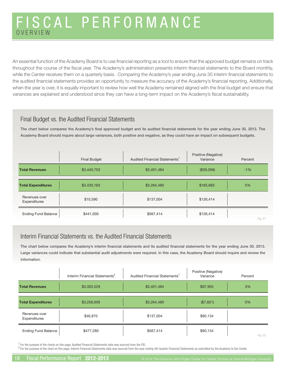### FISCAL PERFORMANCE OVERVIEW

An essential function of the Academy Board is to use financial reporting as a tool to ensure that the approved budget remains on track throughout the course of the fiscal year. The Academy's administration presents interim financial statements to the Board monthly, while the Center receives them on a quarterly basis. Comparing the Academy's year ending June 30 interim financial statements to the audited financial statements provides an opportunity to measure the accuracy of the Academy's financial reporting. Additionally, when the year is over, it is equally important to review how well the Academy remained aligned with the final budget and ensure that variances are explained and understood since they can have a long-term impact on the Academy's fiscal sustainability.

#### Final Budget vs. the Audited Financial Statements

The chart below compares the Academy's final approved budget and its audited financial statements for the year ending June 30, 2013. The **Academy Board should inquire about large variances, both positive and negative, as they could have an impact on subsequent budgets.** 

|                               | <b>Final Budget</b> | Audited Financial Statements <sup>1</sup> | Positive (Negative)<br>Variance | Percent |
|-------------------------------|---------------------|-------------------------------------------|---------------------------------|---------|
| <b>Total Revenues</b>         | \$3,440,753         | \$3,401,484                               | (\$39,269)                      | $-1%$   |
| <b>Total Expenditures</b>     | \$3,430,163         | \$3,264,480                               | \$165,683                       | 5%      |
| Revenues over<br>Expenditures | \$10,590            | \$137,004                                 | \$126,414                       |         |
| <b>Ending Fund Balance</b>    | \$441,000           | \$567,414                                 | \$126,414                       | Fig. 21 |

#### Interim Financial Statements vs. the Audited Financial Statements

The chart below compares the Academy's interim financial statements and its audited financial statements for the year ending June 30, 2013. **Large variances could indicate that substantial audit adjustments were required. In this case, the Academy Board should inquire and review the information.** 

|                               | Interim Financial Statements <sup>2</sup> | Audited Financial Statements <sup>1</sup> | Positive (Negative)<br>Variance | Percent |
|-------------------------------|-------------------------------------------|-------------------------------------------|---------------------------------|---------|
| <b>Total Revenues</b>         | \$3,303,529                               | \$3,401,484                               | \$97,955                        | 3%      |
| <b>Total Expenditures</b>     | \$3,256,659                               | \$3,264,480                               | (\$7,821)                       | 0%      |
| Revenues over<br>Expenditures | \$46,870                                  | \$137,004                                 | \$90,134                        |         |
| <b>Ending Fund Balance</b>    | \$477,280                                 | \$567,414                                 | \$90,134                        | Fig. 22 |

 $1$  For the purpose of the charts on this page, Audited Financial Statements data was sourced from the FID.

 $^2$  For the purpose of the chart on this page, Interim Financial Statements data was sourced from the year ending 4th Quarter Financial Statements as submitted by the Academy to the Center.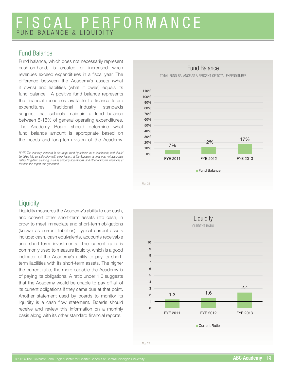### FISCAL PERFORMANCE FUND BALANCE & LIQUIDITY

#### Fund Balance

Fund balance, which does not necessarily represent cash-on-hand, is created or increased when revenues exceed expenditures in a fiscal year. The difference between the Academy's assets (what it owns) and liabilities (what it owes) equals its fund balance. A positive fund balance represents the financial resources available to finance future expenditures. Traditional industry standards suggest that schools maintain a fund balance between 5-15% of general operating expenditures. The Academy Board should determine what fund balance amount is appropriate based on the needs and long-term vision of the Academy.

*NOTE: The industry standard is the range used by schools as a benchmark, and should be taken into consideration with other factors at the Academy as they may not accurately*  reflect long-term planning, such as property acquisitions, and other unknown influences at *the time this report was generated.*



### **Liquidity**

Liquidity measures the Academy's ability to use cash, and convert other short-term assets into cash, in order to meet immediate and short-term obligations (known as current liabilities). Typical current assets include: cash, cash equivalents, accounts receivable and short-term investments. The current ratio is commonly used to measure liquidity, which is a good indicator of the Academy's ability to pay its shortterm liabilities with its short-term assets. The higher the current ratio, the more capable the Academy is of paying its obligations. A ratio under 1.0 suggests that the Academy would be unable to pay off all of its current obligations if they came due at that point. Another statement used by boards to monitor its liquidity is a cash flow statement. Boards should receive and review this information on a monthly basis along with its other standard financial reports.

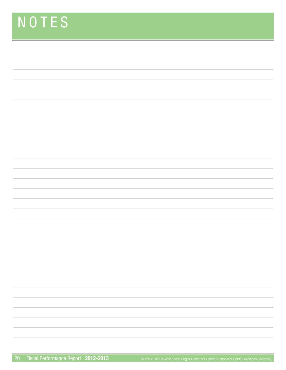# NOTES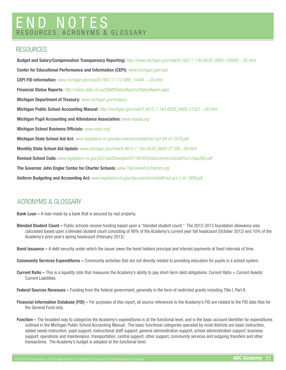### END NOTES RESOURCES, ACRONYMS & GLOSSARY

#### **RESOURCES**

**Budget and Salary/Compensation Transparency Reporting:** *http://www.michigan.gov/mde/0,1607,7-140-6530\_6605-159882--,00.html* **Center for Educational Performance and Information (CEPI):** *www.michigan.gov/cepi*  **CEPI FID information:** *www.michigan.gov/cepi/0,1607,7-113-986\_10484---,00.html*  **Financial Status Reports:** *http://mdoe.state.mi.us/SAMSStatusReports/StatusReport.aspx* **Michigan Department of Treasury:** *www.michigan.gov/treasury*  **Michigan Public School Accounting Manual:** *http://michigan.gov/mde/0,4615,7-140-6530\_6605-21321--,00.html* **Michigan Pupil Accounting and Attendance Association:** *www.mpaaa.org* **Michigan School Business Officials: <b>***www.msbo.org/* **Michigan State School Aid Act:** *www.legislature.mi.gov/documents/mcl/pdf/mcl-act-94-of-1979.pdf* **Monthly State School Aid Update:** *www.michigan.gov/mde/0,4615,7-140-6530\_6605-21108--,00.html*  **Revised School Code:** *www.legislature.mi.gov/(S(31qrkl55wovjbx4511l0rl45))/documents/mcl/pdf/mcl-chap380.pdf*  **The Governor John Engler Center for Charter Schools:** *www.TheCenterForCharters.org* **Uniform Budgeting and Accounting Act:** *www.legislature.mi.gov/documents/mcl/pdf/mcl-act-2-of-1968.pdf*

### ACRONYMS & GLOSSARY

**Bank Loan –** A loan made by a bank that is secured by real property.

- **Blended Student Count** Public schools receive funding based upon a "blended student count." The 2012-2013 foundation allowance was calculated based upon a blended student count consisting of 90% of the Academy's current year fall headcount (October 2012) and 10% of the Academy's prior year's spring headcount (February 2012).
- **Bond Issuance –** A debt security under which the issuer owes the bond holders principal and interest payments at fixed intervals of time.
- **Community Services Expenditures** Community activities that are not directly related to providing education for pupils in a school system.
- **Current Ratio –** This is a liquidity ratio that measures the Academy's ability to pay short-term debt obligations. Current Ratio = Current Assets/ Current Liabilities.
- **Federal Sources Revenues –** Funding from the federal government, generally in the form of restricted grants including Title I, Part A.
- **Financial Information Database (FID)** For purposes of this report, all source references to the Academy's FID are related to the FID data files for the General Fund only.
- **Function** The broadest way to categorize the Academy's expenditures is at the functional level, and is the basic account identifier for expenditures outlined in the Michigan Public School Accounting Manual. The basic functional categories operated by most districts are basic instruction, added needs instruction, pupil support, instructional staff support, general administration support, school administration support, business support, operations and maintenance, transportation, central support, other support, community services and outgoing transfers and other transactions. The Academy's budget is adopted at the functional level.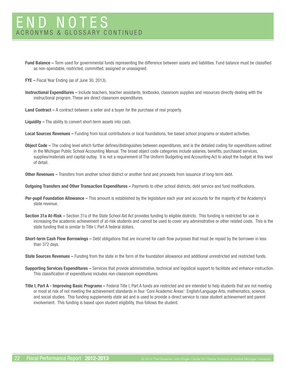- **Fund Balance** Term used for governmental funds representing the difference between assets and liabilities. Fund balance must be classified as non-spendable, restricted, committed, assigned or unassigned.
- **FYE –** Fiscal Year Ending (as of June 30, 2013).
- **Instructional Expenditures –** Include teachers, teacher assistants, textbooks, classroom supplies and resources directly dealing with the instructional program. These are direct classroom expenditures.
- **Land Contract** A contract between a seller and a buyer for the purchase of real property.
- **Liquidity –** The ability to convert short-term assets into cash.
- **Local Sources Revenues** Funding from local contributions or local foundations, fee based school programs or student activities.
- **Object Code –** The coding level which further defines/distinguishes between expenditures, and is the detailed coding for expenditures outlined in the Michigan Public School Accounting Manual. The broad object code categories include salaries, benefits, purchased services, supplies/materials and capital outlay. It is not a requirement of The Uniform Budgeting and Accounting Act to adopt the budget at this level of detail.
- **Other Revenues** Transfers from another school district or another fund and proceeds from issuance of long-term debt.
- **Outgoing Transfers and Other Transaction Expenditures –** Payments to other school districts, debt service and fund modifications.
- **Per-pupil Foundation Allowance** This amount is established by the legislature each year and accounts for the majority of the Academy's state revenue.
- **Section 31a At-Risk** Section 31a of the State School Aid Act provides funding to eligible districts. This funding is restricted for use in increasing the academic achievement of at-risk students and cannot be used to cover any administrative or other related costs. This is the state funding that is similar to Title I, Part A federal dollars.
- **Short-term Cash Flow Borrowings** Debt obligations that are incurred for cash flow purposes that must be repaid by the borrower in less than 372 days.
- **State Sources Revenues** Funding from the state in the form of the foundation allowance and additional unrestricted and restricted funds.
- **Supporting Services Expenditures –** Services that provide administrative, technical and logistical support to facilitate and enhance instruction. This classification of expenditures includes non-classroom expenditures.
- **Title I, Part A Improving Basic Programs** Federal Title I, Part A funds are restricted and are intended to help students that are not meeting or most at risk of not meeting the achievement standards in four 'Core Academic Areas': English/Language Arts, mathematics, science, and social studies. This funding supplements state aid and is used to provide a direct service to raise student achievement and parent involvement. This funding is based upon student eligibility, thus follows the student.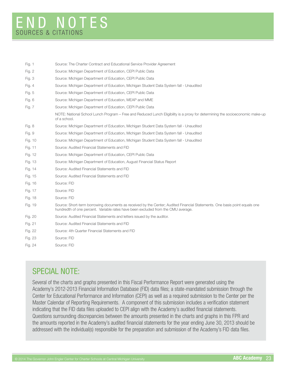| Source: The Charter Contract and Educational Service Provider Agreement                                                                                                                                         |
|-----------------------------------------------------------------------------------------------------------------------------------------------------------------------------------------------------------------|
| Source: Michigan Department of Education, CEPI Public Data                                                                                                                                                      |
| Source: Michigan Department of Education, CEPI Public Data                                                                                                                                                      |
| Source: Michigan Department of Education, Michigan Student Data System fall - Unaudited                                                                                                                         |
| Source: Michigan Department of Education, CEPI Public Data                                                                                                                                                      |
| Source: Michigan Department of Education, MEAP and MME                                                                                                                                                          |
| Source: Michigan Department of Education, CEPI Public Data                                                                                                                                                      |
| NOTE: National School Lunch Program – Free and Reduced Lunch Eligibility is a proxy for determining the socioeconomic make-up<br>of a school.                                                                   |
| Source: Michigan Department of Education, Michigan Student Data System fall - Unaudited                                                                                                                         |
| Source: Michigan Department of Education, Michigan Student Data System fall - Unaudited                                                                                                                         |
| Source: Michigan Department of Education, Michigan Student Data System fall - Unaudited                                                                                                                         |
| Source: Audited Financial Statements and FID                                                                                                                                                                    |
| Source: Michigan Department of Education, CEPI Public Data                                                                                                                                                      |
| Source: Michigan Department of Education, August Financial Status Report                                                                                                                                        |
| Source: Audited Financial Statements and FID                                                                                                                                                                    |
| Source: Audited Financial Statements and FID                                                                                                                                                                    |
| Source: FID                                                                                                                                                                                                     |
| Source: FID                                                                                                                                                                                                     |
| Source: FID                                                                                                                                                                                                     |
| Source: Short-term borrowing documents as received by the Center; Audited Financial Statements. One basis point equals one<br>hundredth of one percent. Variable rates have been excluded from the CMU average. |
| Source: Audited Financial Statements and letters issued by the auditor.                                                                                                                                         |
| Source: Audited Financial Statements and FID                                                                                                                                                                    |
| Source: 4th Quarter Financial Statements and FID                                                                                                                                                                |
| Source: FID                                                                                                                                                                                                     |
| Source: FID                                                                                                                                                                                                     |
|                                                                                                                                                                                                                 |

### SPECIAL NOTE:

Several of the charts and graphs presented in this Fiscal Performance Report were generated using the Academy's 2012-2013 Financial Information Database (FID) data files; a state-mandated submission through the Center for Educational Performance and Information (CEPI) as well as a required submission to the Center per the Master Calendar of Reporting Requirements. A component of this submission includes a verification statement indicating that the FID data files uploaded to CEPI align with the Academy's audited financial statements. Questions surrounding discrepancies between the amounts presented in the charts and graphs in this FPR and the amounts reported in the Academy's audited financial statements for the year ending June 30, 2013 should be addressed with the individual(s) responsible for the preparation and submission of the Academy's FID data files.